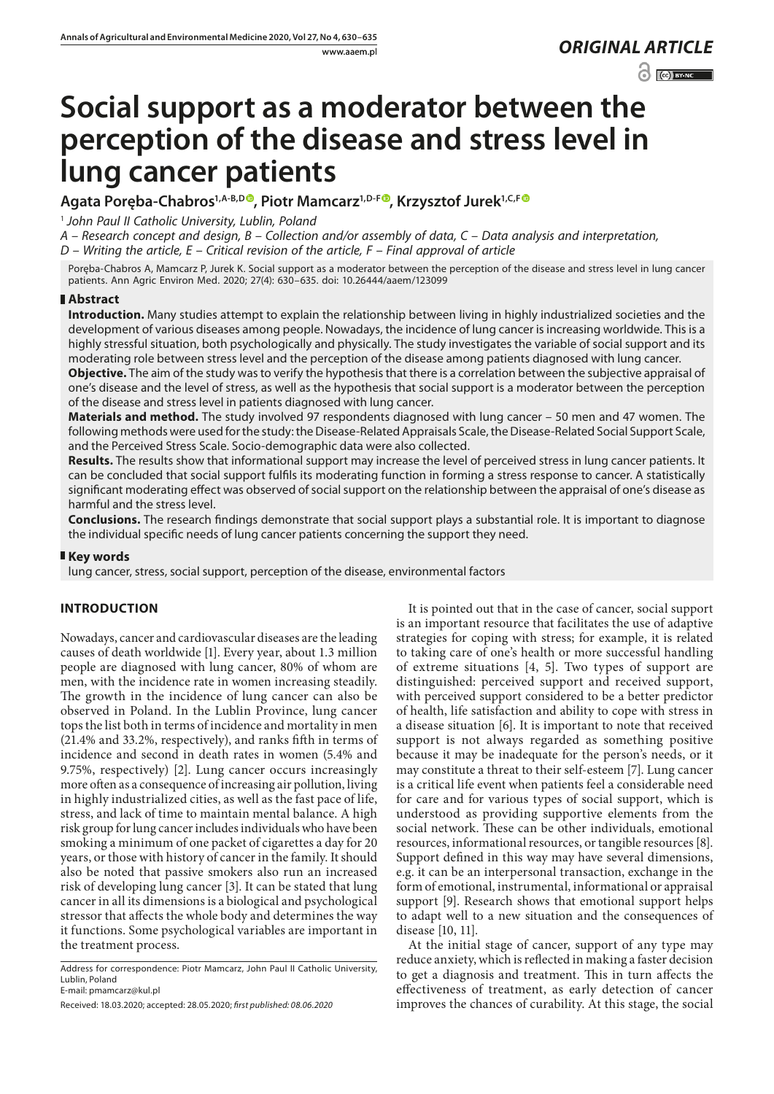www.aaem.pl *ORIGINAL [ARTICLE](https://creativecommons.org/licenses/by-nc/3.0/pl/deed.en)* 

 $\odot$   $\odot$  BY-NC

# **Social support as a moderator between the perception of the disease and stress level in lung cancer patients**

Agata Poręba-Chabros<sup>1[,](https://orcid.org/0000-0001-6307-6326)A-B,D</sup><sup>®</sup>, Piotr Mamcarz<sup>1,D-[F](https://orcid.org/0000-0003-2641-0510)®</sup>, Krzysztof Jurek<sup>1,C,F®</sup>

<sup>1</sup> *John Paul II Catholic University, Lublin, Poland*

*A – Research concept and design, B – Collection and/or assembly of data, C – Data analysis and interpretation,* 

*D – Writing the article, E – Critical revision of the article, F – Final approval of article*

Poręba-Chabros A, Mamcarz P, Jurek K. Social support as a moderator between the perception of the disease and stress level in lung cancer patients. Ann Agric Environ Med. 2020; 27(4): 630–635. doi: 10.26444/aaem/123099

## **Abstract**

**Introduction.** Many studies attempt to explain the relationship between living in highly industrialized societies and the development of various diseases among people. Nowadays, the incidence of lung cancer is increasing worldwide. This is a highly stressful situation, both psychologically and physically. The study investigates the variable of social support and its moderating role between stress level and the perception of the disease among patients diagnosed with lung cancer.

**Objective.** The aim of the study was to verify the hypothesis that there is a correlation between the subjective appraisal of one's disease and the level of stress, as well as the hypothesis that social support is a moderator between the perception of the disease and stress level in patients diagnosed with lung cancer.

**Materials and method.** The study involved 97 respondents diagnosed with lung cancer – 50 men and 47 women. The following methods were used for the study: the Disease-Related Appraisals Scale, the Disease-Related Social Support Scale, and the Perceived Stress Scale. Socio-demographic data were also collected.

**Results.** The results show that informational support may increase the level of perceived stress in lung cancer patients. It can be concluded that social support fulfils its moderating function in forming a stress response to cancer. A statistically significant moderating effect was observed of social support on the relationship between the appraisal of one's disease as harmful and the stress level.

**Conclusions.** The research findings demonstrate that social support plays a substantial role. It is important to diagnose the individual specific needs of lung cancer patients concerning the support they need.

## **Key words**

lung cancer, stress, social support, perception of the disease, environmental factors

## **INTRODUCTION**

Nowadays, cancer and cardiovascular diseases are the leading causes of death worldwide [1]. Every year, about 1.3 million people are diagnosed with lung cancer, 80% of whom are men, with the incidence rate in women increasing steadily. The growth in the incidence of lung cancer can also be observed in Poland. In the Lublin Province, lung cancer tops the list both in terms of incidence and mortality in men (21.4% and 33.2%, respectively), and ranks fifth in terms of incidence and second in death rates in women (5.4% and 9.75%, respectively) [2]. Lung cancer occurs increasingly more often as a consequence of increasing air pollution, living in highly industrialized cities, as well as the fast pace of life, stress, and lack of time to maintain mental balance. A high risk group for lung cancer includes individuals who have been smoking a minimum of one packet of cigarettes a day for 20 years, or those with history of cancer in the family. It should also be noted that passive smokers also run an increased risk of developing lung cancer [3]. It can be stated that lung cancer in all its dimensions is a biological and psychological stressor that affects the whole body and determines the way it functions. Some psychological variables are important in the treatment process.

Address for correspondence: Piotr Mamcarz, John Paul II Catholic University, Lublin, Poland E-mail: pmamcarz@kul.pl

Received: 18.03.2020; accepted: 28.05.2020; *first published: 08.06.2020*

It is pointed out that in the case of cancer, social support is an important resource that facilitates the use of adaptive strategies for coping with stress; for example, it is related to taking care of one's health or more successful handling of extreme situations [4, 5]. Two types of support are distinguished: perceived support and received support, with perceived support considered to be a better predictor of health, life satisfaction and ability to cope with stress in a disease situation [6]. It is important to note that received support is not always regarded as something positive because it may be inadequate for the person's needs, or it may constitute a threat to their self-esteem [7]. Lung cancer is a critical life event when patients feel a considerable need for care and for various types of social support, which is understood as providing supportive elements from the social network. These can be other individuals, emotional resources, informational resources, or tangible resources [8]. Support defined in this way may have several dimensions, e.g. it can be an interpersonal transaction, exchange in the form of emotional, instrumental, informational or appraisal support [9]. Research shows that emotional support helps to adapt well to a new situation and the consequences of disease [10, 11].

At the initial stage of cancer, support of any type may reduce anxiety, which is reflected in making a faster decision to get a diagnosis and treatment. This in turn affects the effectiveness of treatment, as early detection of cancer improves the chances of curability. At this stage, the social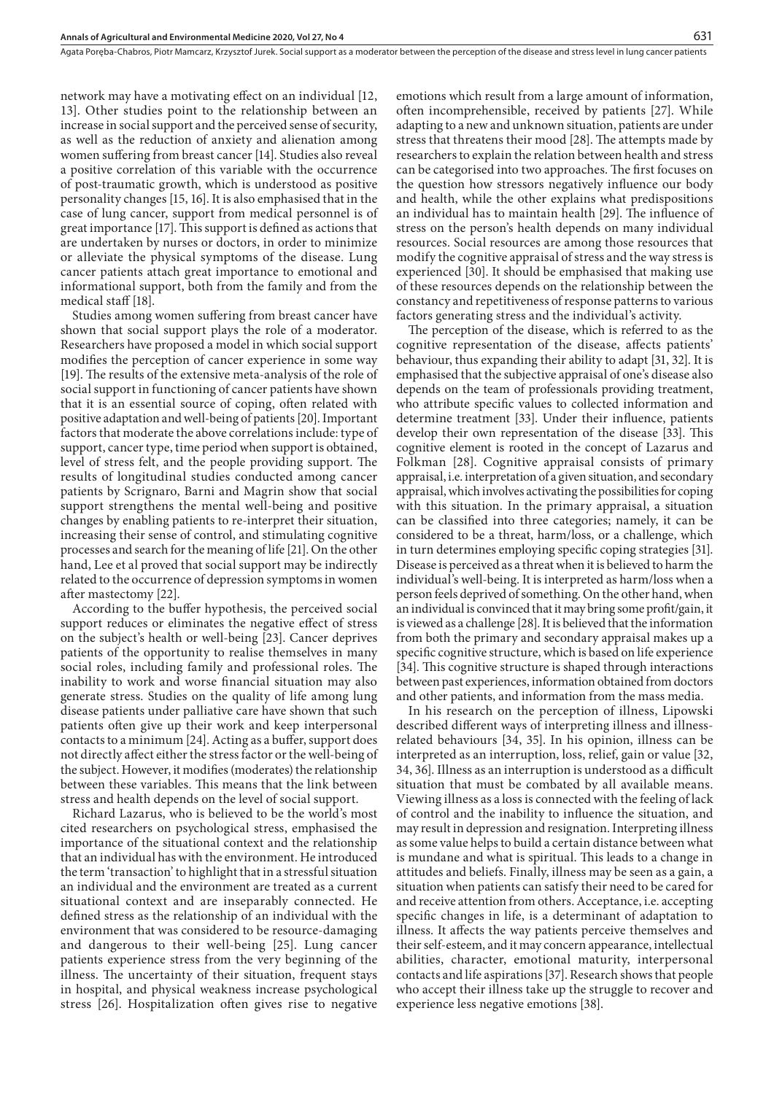network may have a motivating effect on an individual [12, 13]. Other studies point to the relationship between an increase in social support and the perceived sense of security, as well as the reduction of anxiety and alienation among women suffering from breast cancer [14]. Studies also reveal a positive correlation of this variable with the occurrence of post-traumatic growth, which is understood as positive personality changes [15, 16]. It is also emphasised that in the case of lung cancer, support from medical personnel is of great importance [17]. This support is defined as actions that are undertaken by nurses or doctors, in order to minimize or alleviate the physical symptoms of the disease. Lung cancer patients attach great importance to emotional and informational support, both from the family and from the medical staff [18].

Studies among women suffering from breast cancer have shown that social support plays the role of a moderator. Researchers have proposed a model in which social support modifies the perception of cancer experience in some way [19]. The results of the extensive meta-analysis of the role of social support in functioning of cancer patients have shown that it is an essential source of coping, often related with positive adaptation and well-being of patients [20]. Important factors that moderate the above correlations include: type of support, cancer type, time period when support is obtained, level of stress felt, and the people providing support. The results of longitudinal studies conducted among cancer patients by Scrignaro, Barni and Magrin show that social support strengthens the mental well-being and positive changes by enabling patients to re-interpret their situation, increasing their sense of control, and stimulating cognitive processes and search for the meaning of life [21]. On the other hand, Lee et al proved that social support may be indirectly related to the occurrence of depression symptoms in women after mastectomy [22].

According to the buffer hypothesis, the perceived social support reduces or eliminates the negative effect of stress on the subject's health or well-being [23]. Cancer deprives patients of the opportunity to realise themselves in many social roles, including family and professional roles. The inability to work and worse financial situation may also generate stress. Studies on the quality of life among lung disease patients under palliative care have shown that such patients often give up their work and keep interpersonal contacts to a minimum [24]. Acting as a buffer, support does not directly affect either the stress factor or the well-being of the subject. However, it modifies (moderates) the relationship between these variables. This means that the link between stress and health depends on the level of social support.

Richard Lazarus, who is believed to be the world's most cited researchers on psychological stress, emphasised the importance of the situational context and the relationship that an individual has with the environment. He introduced the term 'transaction' to highlight that in a stressful situation an individual and the environment are treated as a current situational context and are inseparably connected. He defined stress as the relationship of an individual with the environment that was considered to be resource-damaging and dangerous to their well-being [25]. Lung cancer patients experience stress from the very beginning of the illness. The uncertainty of their situation, frequent stays in hospital, and physical weakness increase psychological stress [26]. Hospitalization often gives rise to negative

emotions which result from a large amount of information, often incomprehensible, received by patients [27]. While adapting to a new and unknown situation, patients are under stress that threatens their mood [28]. The attempts made by researchers to explain the relation between health and stress can be categorised into two approaches. The first focuses on the question how stressors negatively influence our body and health, while the other explains what predispositions an individual has to maintain health [29]. The influence of stress on the person's health depends on many individual resources. Social resources are among those resources that modify the cognitive appraisal of stress and the way stress is experienced [30]. It should be emphasised that making use of these resources depends on the relationship between the constancy and repetitiveness of response patterns to various factors generating stress and the individual's activity.

The perception of the disease, which is referred to as the cognitive representation of the disease, affects patients' behaviour, thus expanding their ability to adapt [31, 32]. It is emphasised that the subjective appraisal of one's disease also depends on the team of professionals providing treatment, who attribute specific values to collected information and determine treatment [33]. Under their influence, patients develop their own representation of the disease [33]. This cognitive element is rooted in the concept of Lazarus and Folkman [28]. Cognitive appraisal consists of primary appraisal, i.e. interpretation of a given situation, and secondary appraisal, which involves activating the possibilities for coping with this situation. In the primary appraisal, a situation can be classified into three categories; namely, it can be considered to be a threat, harm/loss, or a challenge, which in turn determines employing specific coping strategies [31]. Disease is perceived as a threat when it is believed to harm the individual's well-being. It is interpreted as harm/loss when a person feels deprived of something. On the other hand, when an individual is convinced that it may bring some profit/gain, it is viewed as a challenge [28]. It is believed that the information from both the primary and secondary appraisal makes up a specific cognitive structure, which is based on life experience [34]. This cognitive structure is shaped through interactions between past experiences, information obtained from doctors and other patients, and information from the mass media.

In his research on the perception of illness, Lipowski described different ways of interpreting illness and illnessrelated behaviours [34, 35]. In his opinion, illness can be interpreted as an interruption, loss, relief, gain or value [32, 34, 36]. Illness as an interruption is understood as a difficult situation that must be combated by all available means. Viewing illness as a loss is connected with the feeling of lack of control and the inability to influence the situation, and may result in depression and resignation. Interpreting illness as some value helps to build a certain distance between what is mundane and what is spiritual. This leads to a change in attitudes and beliefs. Finally, illness may be seen as a gain, a situation when patients can satisfy their need to be cared for and receive attention from others. Acceptance, i.e. accepting specific changes in life, is a determinant of adaptation to illness. It affects the way patients perceive themselves and their self-esteem, and it may concern appearance, intellectual abilities, character, emotional maturity, interpersonal contacts and life aspirations [37]. Research shows that people who accept their illness take up the struggle to recover and experience less negative emotions [38].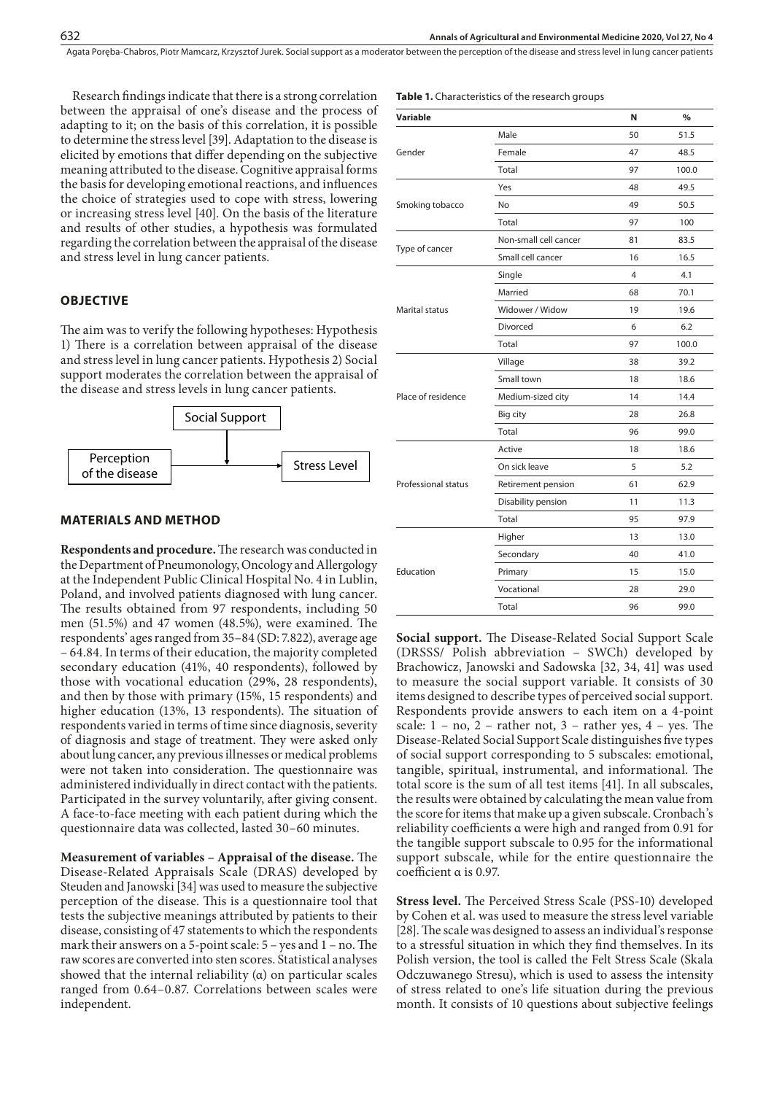Research findings indicate that there is a strong correlation between the appraisal of one's disease and the process of adapting to it; on the basis of this correlation, it is possible to determine the stress level [39]. Adaptation to the disease is elicited by emotions that differ depending on the subjective meaning attributed to the disease. Cognitive appraisal forms the basis for developing emotional reactions, and influences the choice of strategies used to cope with stress, lowering or increasing stress level [40]. On the basis of the literature and results of other studies, a hypothesis was formulated regarding the correlation between the appraisal of the disease and stress level in lung cancer patients.

#### **OBJECTIVE**

The aim was to verify the following hypotheses: Hypothesis 1) There is a correlation between appraisal of the disease and stress level in lung cancer patients. Hypothesis 2) Social support moderates the correlation between the appraisal of the disease and stress levels in lung cancer patients.



#### **MATERIALS AND METHOD**

**Respondents and procedure.** The research was conducted in the Department of Pneumonology, Oncology and Allergology at the Independent Public Clinical Hospital No. 4 in Lublin, Poland, and involved patients diagnosed with lung cancer. The results obtained from 97 respondents, including 50 men (51.5%) and 47 women (48.5%), were examined. The respondents' ages ranged from 35–84 (SD: 7.822), average age – 64.84. In terms of their education, the majority completed secondary education (41%, 40 respondents), followed by those with vocational education (29%, 28 respondents), and then by those with primary (15%, 15 respondents) and higher education (13%, 13 respondents). The situation of respondents varied in terms of time since diagnosis, severity of diagnosis and stage of treatment. They were asked only about lung cancer, any previous illnesses or medical problems were not taken into consideration. The questionnaire was administered individually in direct contact with the patients. Participated in the survey voluntarily, after giving consent. A face-to-face meeting with each patient during which the questionnaire data was collected, lasted 30–60 minutes.

**Measurement of variables – Appraisal of the disease.** The Disease-Related Appraisals Scale (DRAS) developed by Steuden and Janowski [34] was used to measure the subjective perception of the disease. This is a questionnaire tool that tests the subjective meanings attributed by patients to their disease, consisting of 47 statements to which the respondents mark their answers on a 5-point scale: 5 – yes and 1 – no. The raw scores are converted into sten scores. Statistical analyses showed that the internal reliability  $(a)$  on particular scales ranged from 0.64–0.87. Correlations between scales were independent.

|  |  |  | <b>Table 1.</b> Characteristics of the research groups |  |  |  |  |  |  |  |  |
|--|--|--|--------------------------------------------------------|--|--|--|--|--|--|--|--|
|--|--|--|--------------------------------------------------------|--|--|--|--|--|--|--|--|

| Variable            |                       | N  | $\frac{0}{0}$ |
|---------------------|-----------------------|----|---------------|
|                     | Male                  | 50 | 51.5          |
| Gender              | Female                | 47 | 48.5          |
|                     | Total                 | 97 | 100.0         |
|                     | Yes                   | 48 | 49.5          |
| Smoking tobacco     | No                    | 49 | 50.5          |
|                     | Total                 | 97 | 100           |
|                     | Non-small cell cancer | 81 | 83.5          |
| Type of cancer      | Small cell cancer     | 16 | 16.5          |
|                     | Single                | 4  | 4.1           |
|                     | Married               | 68 | 70.1          |
| Marital status      | Widower / Widow       | 19 | 19.6          |
|                     | Divorced              | 6  | 6.2           |
|                     | Total                 | 97 | 100.0         |
|                     | Village               | 38 | 39.2          |
|                     | Small town            | 18 | 18.6          |
| Place of residence  | Medium-sized city     | 14 | 14.4          |
|                     | Big city              | 28 | 26.8          |
|                     | Total                 | 96 | 99.0          |
|                     | Active                | 18 | 18.6          |
|                     | On sick leave         | 5  | 5.2           |
| Professional status | Retirement pension    | 61 | 62.9          |
|                     | Disability pension    | 11 | 11.3          |
|                     | Total                 | 95 | 97.9          |
|                     | Higher                | 13 | 13.0          |
|                     | Secondary             | 40 | 41.0          |
| Education           | Primary               | 15 | 15.0          |
|                     | Vocational            | 28 | 29.0          |
|                     | Total                 | 96 | 99.0          |
|                     |                       |    |               |

**Social support.** The Disease-Related Social Support Scale (DRSSS/ Polish abbreviation – SWCh) developed by Brachowicz, Janowski and Sadowska [32, 34, 41] was used to measure the social support variable. It consists of 30 items designed to describe types of perceived social support. Respondents provide answers to each item on a 4-point scale:  $1 - no$ ,  $2 - rather not$ ,  $3 - rather yes$ ,  $4 - yes$ . The Disease-Related Social Support Scale distinguishes five types of social support corresponding to 5 subscales: emotional, tangible, spiritual, instrumental, and informational. The total score is the sum of all test items [41]. In all subscales, the results were obtained by calculating the mean value from the score for items that make up a given subscale. Cronbach's reliability coefficients α were high and ranged from 0.91 for the tangible support subscale to 0.95 for the informational support subscale, while for the entire questionnaire the coefficient α is 0.97.

**Stress level.** The Perceived Stress Scale (PSS-10) developed by Cohen et al. was used to measure the stress level variable [28]. The scale was designed to assess an individual's response to a stressful situation in which they find themselves. In its Polish version, the tool is called the Felt Stress Scale (Skala Odczuwanego Stresu), which is used to assess the intensity of stress related to one's life situation during the previous month. It consists of 10 questions about subjective feelings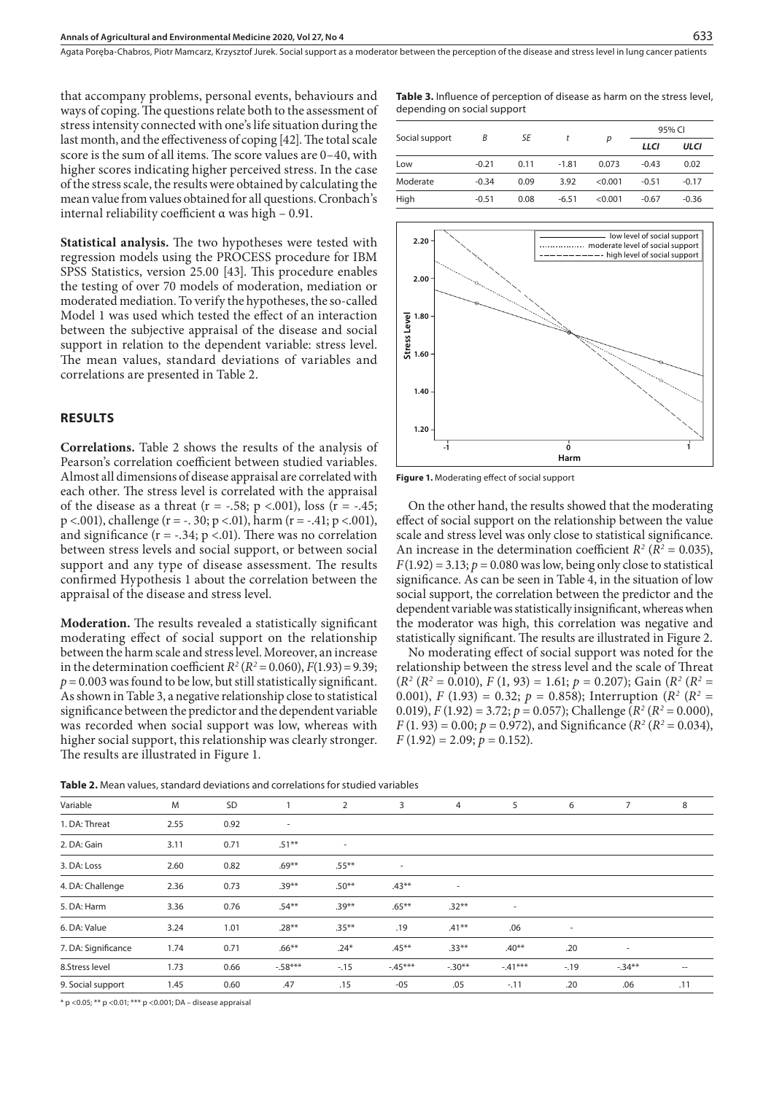that accompany problems, personal events, behaviours and ways of coping. The questions relate both to the assessment of stress intensity connected with one's life situation during the last month, and the effectiveness of coping [42]. The total scale score is the sum of all items. The score values are 0–40, with higher scores indicating higher perceived stress. In the case of the stress scale, the results were obtained by calculating the mean value from values obtained for all questions. Cronbach's internal reliability coefficient α was high – 0.91.

**Statistical analysis.** The two hypotheses were tested with regression models using the PROCESS procedure for IBM SPSS Statistics, version 25.00 [43]. This procedure enables the testing of over 70 models of moderation, mediation or moderated mediation. To verify the hypotheses, the so-called Model 1 was used which tested the effect of an interaction between the subjective appraisal of the disease and social support in relation to the dependent variable: stress level. The mean values, standard deviations of variables and correlations are presented in Table 2.

#### **RESULTS**

**Correlations.** Table 2 shows the results of the analysis of Pearson's correlation coefficient between studied variables. Almost all dimensions of disease appraisal are correlated with each other. The stress level is correlated with the appraisal of the disease as a threat ( $r = -.58$ ;  $p < .001$ ), loss ( $r = -.45$ ;  $p < .001$ ), challenge (r = -. 30;  $p < .01$ ), harm (r = -.41;  $p < .001$ ), and significance  $(r = -.34; p < .01)$ . There was no correlation between stress levels and social support, or between social support and any type of disease assessment. The results confirmed Hypothesis 1 about the correlation between the appraisal of the disease and stress level.

**Moderation.** The results revealed a statistically significant moderating effect of social support on the relationship between the harm scale and stress level. Moreover, an increase in the determination coefficient  $R^2 (R^2 = 0.060)$ ,  $F(1.93) = 9.39$ ;  $p = 0.003$  was found to be low, but still statistically significant. As shown in Table 3, a negative relationship close to statistical significance between the predictor and the dependent variable was recorded when social support was low, whereas with higher social support, this relationship was clearly stronger. The results are illustrated in Figure 1.

**Table 3.** Influence of perception of disease as harm on the stress level, depending on social support

|                |         |      |         |         | 95% CI  |             |  |
|----------------|---------|------|---------|---------|---------|-------------|--|
| Social support | B       | SE   |         | р       | LLCI    | <b>ULCI</b> |  |
| Low            | $-0.21$ | 0.11 | $-1.81$ | 0.073   | $-0.43$ | 0.02        |  |
| Moderate       | $-0.34$ | 0.09 | 3.92    | < 0.001 | $-0.51$ | $-0.17$     |  |
| High           | $-0.51$ | 0.08 | $-6.51$ | < 0.001 | $-0.67$ | $-0.36$     |  |



**Figure 1.** Moderating effect of social support

On the other hand, the results showed that the moderating effect of social support on the relationship between the value scale and stress level was only close to statistical significance. An increase in the determination coefficient  $R^2$  ( $R^2$  = 0.035),  $F(1.92) = 3.13$ ;  $p = 0.080$  was low, being only close to statistical significance. As can be seen in Table 4, in the situation of low social support, the correlation between the predictor and the dependent variable was statistically insignificant, whereas when the moderator was high, this correlation was negative and statistically significant. The results are illustrated in Figure 2.

No moderating effect of social support was noted for the relationship between the stress level and the scale of Threat  $(R^2 (R^2 = 0.010), F (1, 93) = 1.61; p = 0.207)$ ; Gain  $(R^2 (R^2 =$ 0.001), *F* (1.93) = 0.32; *p* = 0.858); Interruption ( $R^2$  ( $R^2$  = 0.019),  $F(1.92) = 3.72$ ;  $p = 0.057$ ); Challenge ( $R^2 (R^2 = 0.000)$ ,  $F(1.93) = 0.00; p = 0.972$ , and Significance ( $R^2 (R^2 = 0.034)$ ,  $F(1.92) = 2.09; p = 0.152$ .

**Table 2.** Mean values, standard deviations and correlations for studied variables

| Variable            | M    | SD   |                          | 2        | 3        | 4        | 5        | 6      | 7        | 8                 |
|---------------------|------|------|--------------------------|----------|----------|----------|----------|--------|----------|-------------------|
| 1. DA: Threat       | 2.55 | 0.92 | $\overline{\phantom{a}}$ |          |          |          |          |        |          |                   |
| 2. DA: Gain         | 3.11 | 0.71 | $.51***$                 | ٠        |          |          |          |        |          |                   |
| 3. DA: Loss         | 2.60 | 0.82 | $.69***$                 | $.55***$ | ٠        |          |          |        |          |                   |
| 4. DA: Challenge    | 2.36 | 0.73 | $.39***$                 | $.50**$  | $.43***$ | $\sim$   |          |        |          |                   |
| 5. DA: Harm         | 3.36 | 0.76 | $.54**$                  | $.39***$ | $.65***$ | $.32**$  | ٠        |        |          |                   |
| 6. DA: Value        | 3.24 | 1.01 | $.28**$                  | $.35***$ | .19      | $.41**$  | .06      | $\sim$ |          |                   |
| 7. DA: Significance | 1.74 | 0.71 | $.66***$                 | $.24*$   | $.45***$ | $.33**$  | $.40**$  | .20    | ٠        |                   |
| 8.Stress level      | 1.73 | 0.66 | $-0.58***$               | $-.15$   | $-45***$ | $-.30**$ | $-41***$ | $-19$  | $-.34**$ | $\hspace{0.05cm}$ |
| 9. Social support   | 1.45 | 0.60 | .47                      | .15      | $-05$    | .05      | $-.11$   | .20    | .06      | .11               |
|                     |      |      |                          |          |          |          |          |        |          |                   |

\* p <0.05; \*\* p <0.01; \*\*\* p <0.001; DA – disease appraisal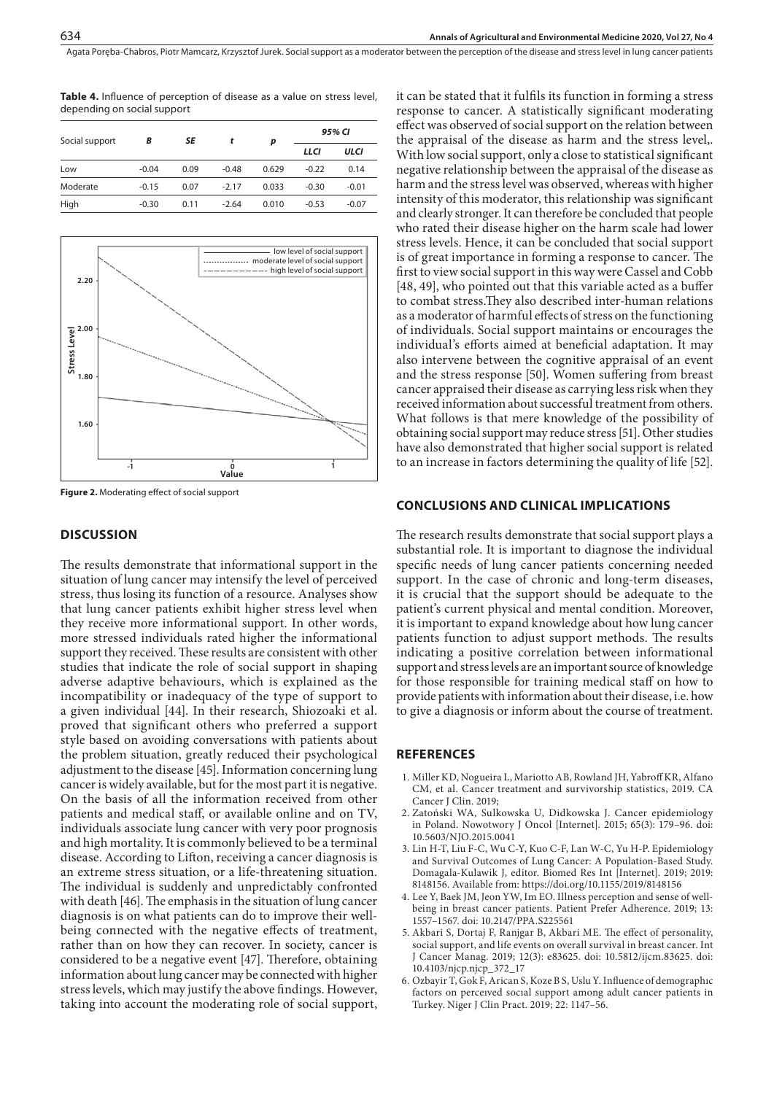**Table 4.** Influence of perception of disease as a value on stress level, depending on social support

| Social support | B       | SE   | t       | p     | 95% CI  |         |  |
|----------------|---------|------|---------|-------|---------|---------|--|
|                |         |      |         |       | LLCI    | ULCI    |  |
| Low            | $-0.04$ | 0.09 | $-0.48$ | 0.629 | $-0.22$ | 0.14    |  |
| Moderate       | $-0.15$ | 0.07 | $-2.17$ | 0.033 | $-0.30$ | $-0.01$ |  |
| High           | $-0.30$ | 0.11 | $-2.64$ | 0.010 | $-0.53$ | $-0.07$ |  |



**Figure 2.** Moderating effect of social support

#### **DISCUSSION**

The results demonstrate that informational support in the situation of lung cancer may intensify the level of perceived stress, thus losing its function of a resource. Analyses show that lung cancer patients exhibit higher stress level when they receive more informational support. In other words, more stressed individuals rated higher the informational support they received. These results are consistent with other studies that indicate the role of social support in shaping adverse adaptive behaviours, which is explained as the incompatibility or inadequacy of the type of support to a given individual [44]. In their research, Shiozoaki et al. proved that significant others who preferred a support style based on avoiding conversations with patients about the problem situation, greatly reduced their psychological adjustment to the disease [45]. Information concerning lung cancer is widely available, but for the most part it is negative. On the basis of all the information received from other patients and medical staff, or available online and on TV, individuals associate lung cancer with very poor prognosis and high mortality. It is commonly believed to be a terminal disease. According to Lifton, receiving a cancer diagnosis is an extreme stress situation, or a life-threatening situation. The individual is suddenly and unpredictably confronted with death [46]. The emphasis in the situation of lung cancer diagnosis is on what patients can do to improve their wellbeing connected with the negative effects of treatment, rather than on how they can recover. In society, cancer is considered to be a negative event [47]. Therefore, obtaining information about lung cancer may be connected with higher stress levels, which may justify the above findings. However, taking into account the moderating role of social support,

it can be stated that it fulfils its function in forming a stress response to cancer. A statistically significant moderating effect was observed of social support on the relation between the appraisal of the disease as harm and the stress level,. With low social support, only a close to statistical significant negative relationship between the appraisal of the disease as harm and the stress level was observed, whereas with higher intensity of this moderator, this relationship was significant and clearly stronger. It can therefore be concluded that people who rated their disease higher on the harm scale had lower stress levels. Hence, it can be concluded that social support is of great importance in forming a response to cancer. The first to view social support in this way were Cassel and Cobb [48, 49], who pointed out that this variable acted as a buffer to combat stress.They also described inter-human relations as a moderator of harmful effects of stress on the functioning of individuals. Social support maintains or encourages the individual's efforts aimed at beneficial adaptation. It may also intervene between the cognitive appraisal of an event and the stress response [50]. Women suffering from breast cancer appraised their disease as carrying less risk when they received information about successful treatment from others. What follows is that mere knowledge of the possibility of obtaining social support may reduce stress [51]. Other studies have also demonstrated that higher social support is related to an increase in factors determining the quality of life [52].

#### **CONCLUSIONS AND CLINICAL IMPLICATIONS**

The research results demonstrate that social support plays a substantial role. It is important to diagnose the individual specific needs of lung cancer patients concerning needed support. In the case of chronic and long-term diseases, it is crucial that the support should be adequate to the patient's current physical and mental condition. Moreover, it is important to expand knowledge about how lung cancer patients function to adjust support methods. The results indicating a positive correlation between informational support and stress levels are an important source of knowledge for those responsible for training medical staff on how to provide patients with information about their disease, i.e. how to give a diagnosis or inform about the course of treatment.

#### **REFERENCES**

- 1. Miller KD, Nogueira L, Mariotto AB, Rowland JH, Yabroff KR, Alfano CM, et al. Cancer treatment and survivorship statistics, 2019. CA Cancer J Clin. 2019;
- 2. Zatoński WA, Sulkowska U, Didkowska J. Cancer epidemiology in Poland. Nowotwory J Oncol [Internet]. 2015; 65(3): 179–96. doi: 10.5603/NJO.2015.0041
- 3. Lin H-T, Liu F-C, Wu C-Y, Kuo C-F, Lan W-C, Yu H-P. Epidemiology and Survival Outcomes of Lung Cancer: A Population-Based Study. Domagala-Kulawik J, editor. Biomed Res Int [Internet]. 2019; 2019: 8148156. Available from:<https://doi.org/10.1155/2019/8148156>
- 4. Lee Y, Baek JM, Jeon YW, Im EO. Illness perception and sense of wellbeing in breast cancer patients. Patient Prefer Adherence. 2019; 13: 1557–1567. doi: 10.2147/PPA.S225561
- 5. Akbari S, Dortaj F, Ranjgar B, Akbari ME. The effect of personality, social support, and life events on overall survival in breast cancer. Int J Cancer Manag. 2019; 12(3): e83625. doi: 10.5812/ijcm.83625. doi: 10.4103/njcp.njcp\_372\_17
- 6. Ozbayir T, Gok F, Arican S, Koze B S, Uslu Y. Influence of demographıc factors on perceıved socıal support among adult cancer patients in Turkey. Niger J Clin Pract. 2019; 22: 1147–56.